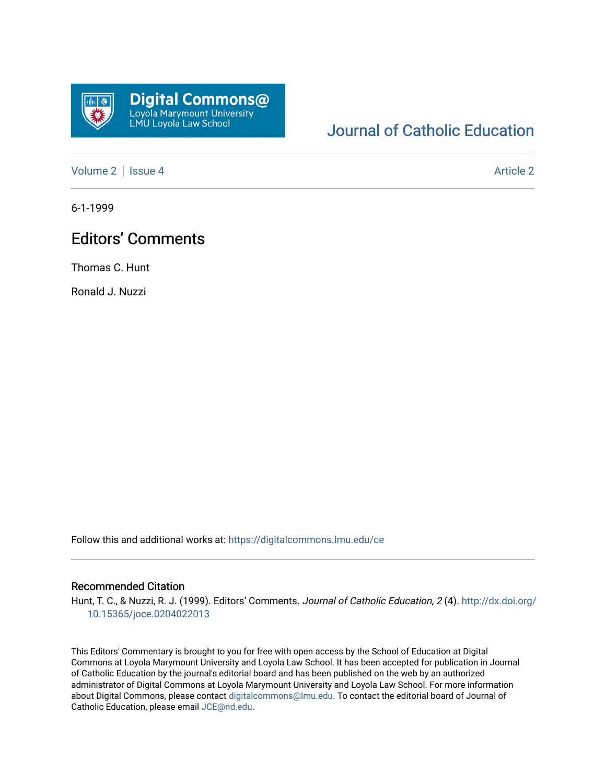

## [Journal of Catholic Education](https://digitalcommons.lmu.edu/ce)

[Volume 2](https://digitalcommons.lmu.edu/ce/vol2) | [Issue 4](https://digitalcommons.lmu.edu/ce/vol2/iss4) [Article 2](https://digitalcommons.lmu.edu/ce/vol2/iss4/2) Article 2

6-1-1999

## Editors' Comments

Thomas C. Hunt

Ronald J. Nuzzi

Follow this and additional works at: [https://digitalcommons.lmu.edu/ce](https://digitalcommons.lmu.edu/ce?utm_source=digitalcommons.lmu.edu%2Fce%2Fvol2%2Fiss4%2F2&utm_medium=PDF&utm_campaign=PDFCoverPages)

## Recommended Citation

Hunt, T. C., & Nuzzi, R. J. (1999). Editors' Comments. Journal of Catholic Education, 2 (4). [http://dx.doi.org/](http://dx.doi.org/10.15365/joce.0204022013) [10.15365/joce.0204022013](http://dx.doi.org/10.15365/joce.0204022013) 

This Editors' Commentary is brought to you for free with open access by the School of Education at Digital Commons at Loyola Marymount University and Loyola Law School. It has been accepted for publication in Journal of Catholic Education by the journal's editorial board and has been published on the web by an authorized administrator of Digital Commons at Loyola Marymount University and Loyola Law School. For more information about Digital Commons, please contact [digitalcommons@lmu.edu](mailto:digitalcommons@lmu.edu). To contact the editorial board of Journal of Catholic Education, please email [JCE@nd.edu.](mailto:JCE@nd.edu)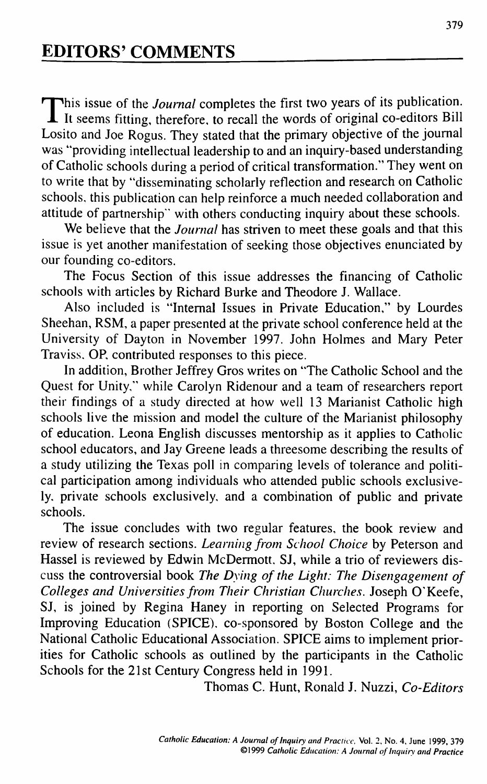This issue of the *Journal* completes the first two years of its publication.<br>It seems fitting, therefore, to recall the words of original co-editors Bill This issue of the *Journal* completes the first two years of its publication. Losito and Joe Rogus. They stated that the primary objective of the journal was "providing intellectual leadership to and an inquiry-based understanding of Catholic schools during a period of critical transformation." They went on to write that by "disseminating scholarly reflection and research on Catholic schools, this publication can help reinforce a much needed collaboration and attitude of partnership" with others conducting inquiry about these schools.

We believe that the *Journal* has striven to meet these goals and that this issue is yet another manifestation of seeking those objectives enunciated by our founding co-editors.

The Focus Section of this issue addresses the financing of Catholic schools with articles by Richard Burke and Theodore J. Wallace.

Also included is "Internal Issues in Private Education," by Lourdes Sheehan, RSM, a paper presented at the private school conference held at the University of Dayton in November 1997. John Holmes and Mary Peter Traviss, OP, contributed responses to this piece.

In addition, Brother Jeffrey Gros writes on "The Catholic School and the Quest for Unity," while Carolyn Ridenour and a team of researchers report their findings of a study directed at how well 13 Marianist Catholic high schools live the mission and model the culture of the Marianist philosophy of education. Leona English discusses mentorship as it applies to Catholic school educators, and Jay Greene leads a threesome describing the results of a study utilizing the Texas poll in comparing levels of tolerance and political participation among individuals who attended public schools exclusively, private schools exclusively, and a combination of public and private schools.

The issue concludes with two regular features, the book review and review of research sections. *Learning from School Choice* by Peterson and Hassel is reviewed by Edwin McDermott, SJ, while a trio of reviewers discuss the controversial book *The Dying of the Light: The Disengagement of Colleges and Universities from Their Christian Churches.* Joseph O'Keefe, SJ, is joined by Regina Haney in reporting on Selected Programs for Improving Education (SPICE), co-sponsored by Boston College and the National Catholic Educational Association. SPICE aims to implement priorities for Catholic schools as outlined by the participants in the Catholic Schools for the 21st Century Congress held in 1991.

Thomas C. Hunt, Ronald J. Nuzzi, *Co-Editors*